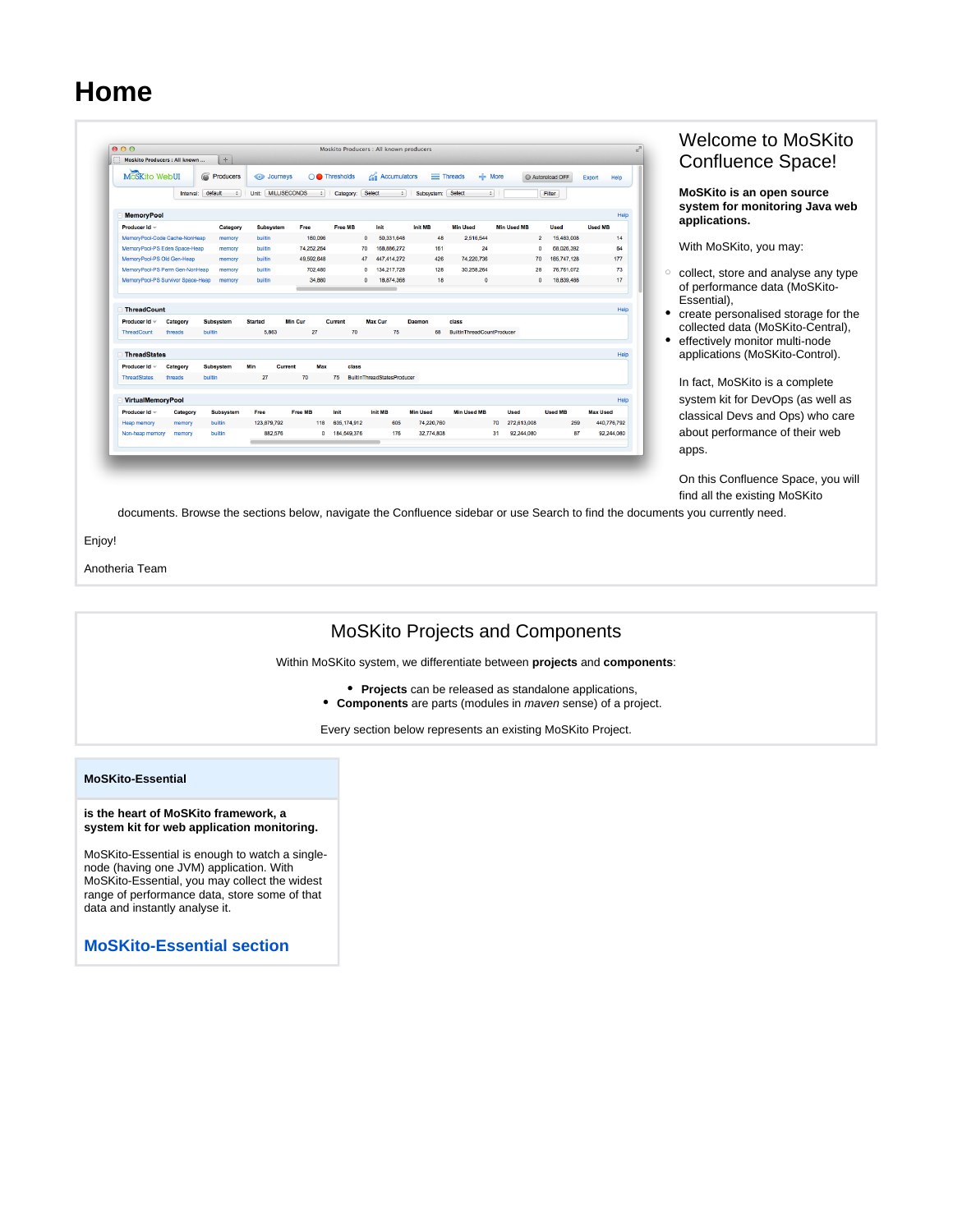# **Home**

| Moskito Producers : All known     |                           | $\div$            |                              |                       |                       | Moskito Producers : All known producers |                 |                                   |                    |                              |                 |
|-----------------------------------|---------------------------|-------------------|------------------------------|-----------------------|-----------------------|-----------------------------------------|-----------------|-----------------------------------|--------------------|------------------------------|-----------------|
| MoSKito WebUI                     |                           | Producers<br>6    | o Journeys                   |                       | $\bigcirc$ Thresholds | Accumulators                            |                 | $\equiv$ Threads<br>$+$ More      |                    | Autoreload OFF               | Help<br>Export  |
|                                   | Interval:                 | default<br>$\div$ | <b>MILLISECONDS</b><br>Unit: | $\div$                | Category:             | Select<br>$\ddot{\phantom{1}}$          | Subsystem:      | Select<br>$\div$                  |                    | Filter                       |                 |
| <b>MemoryPool</b>                 |                           |                   |                              |                       |                       |                                         |                 |                                   |                    |                              |                 |
| Producer Id ~                     |                           | Category          | <b>Subsystem</b>             | Free                  | Free MB               | Init                                    | <b>Init MB</b>  | <b>Min Used</b>                   | <b>Min Used MB</b> | <b>Used</b>                  | <b>Used MB</b>  |
| MemoryPool-Code Cache-NonHeap     |                           | memory            | builtin                      | 180.096               |                       | $\Omega$<br>50.331.648                  | 48              | 2.516.544                         |                    | $\overline{2}$<br>15,483,008 |                 |
| MemoryPool-PS Eden Space-Heap     |                           | memory            | builtin                      | 74.252.264            |                       | 168.886.272<br>70                       | 161             | 24                                | $\Omega$           | 68.026.392                   |                 |
| MemoryPool-PS Old Gen-Heap        |                           | memory            | builtin                      | 49,592,648            |                       | 447.414.272<br>47                       | 426             | 74,220,736                        | 70                 | 185,747,128                  | 177             |
| MemoryPool-PS Perm Gen-NonHeap    |                           | memory            | builtin                      | 702.480               |                       | 134.217.728<br>$\mathbf{0}$             | 128             | 30.258.264                        | 28                 | 76,761,072                   |                 |
| MemoryPool-PS Survivor Space-Heap |                           | memory            | builtin                      | 34,880                |                       | 18,874,368<br>$\mathbf{0}$              | 18              | $\mathbf{0}$                      |                    | 18.839.488<br>$\Omega$       |                 |
| ThreadCount                       |                           |                   |                              |                       |                       |                                         |                 |                                   |                    |                              |                 |
| Producer Id -                     | Category                  | <b>Subsystem</b>  | <b>Started</b>               | <b>Min Cur</b>        | Current               | <b>Max Cur</b>                          | Daemon          | class                             |                    |                              |                 |
| ThreadCount                       | threads                   | builtin           | 5,863                        | 27                    | 70                    | 75                                      | 68              | <b>BuiltInThreadCountProducer</b> |                    |                              |                 |
| □ ThreadStates                    |                           |                   |                              |                       |                       |                                         |                 |                                   |                    |                              |                 |
| Producer Id -                     | Category                  | <b>Subsystem</b>  | Min                          | <b>Current</b><br>Max | class                 |                                         |                 |                                   |                    |                              |                 |
| <b>ThreadStates</b>               | threads                   | builtin           | 27                           | 70                    | 75                    | <b>BuiltinThreadStatesProducer</b>      |                 |                                   |                    |                              |                 |
| VirtualMemoryPool                 |                           |                   |                              |                       |                       |                                         |                 |                                   |                    |                              |                 |
| Producer Id ~                     | Category                  | <b>Subsystem</b>  | Free                         | <b>Free MB</b>        | Init                  | <b>Init MB</b>                          | <b>Min Used</b> | <b>Min Used MB</b>                | Used               | <b>Used MB</b>               | <b>Max Used</b> |
|                                   | memory                    | builtin           | 123.879.792                  | 118                   | 635.174.912           | 605                                     | 74.220.760      |                                   | 70<br>272.613.008  | 259                          | 440.776.792     |
| <b>Heap memory</b>                | Non-heap memory<br>memory | builtin           | 882,576                      | $\bullet$             | 184,549,376           | 176                                     | 32,774,808      |                                   | 92,244,080<br>31   | 87                           | 92.244.080      |

## Welcome to MoSKito Confluence Space!

**MoSKito is an open source system for monitoring Java web applications.**

With MoSKito, you may:

- $\circ$  collect, store and analyse any type of performance data (MoSKito-Essential),
- create personalised storage for the collected data (MoSKito-Central),
- $\bullet$ effectively monitor multi-node applications (MoSKito-Control).

In fact, MoSKito is a complete system kit for DevOps (as well as classical Devs and Ops) who care about performance of their web apps.

On this Confluence Space, you will find all the existing MoSKito

documents. Browse the sections below, navigate the Confluence sidebar or use Search to find the documents you currently need.

Enjoy!

Anotheria Team



**[MoSKito-Essential section](https://confluence.opensource.anotheria.net/display/MSK/MoSKito-Essential)**